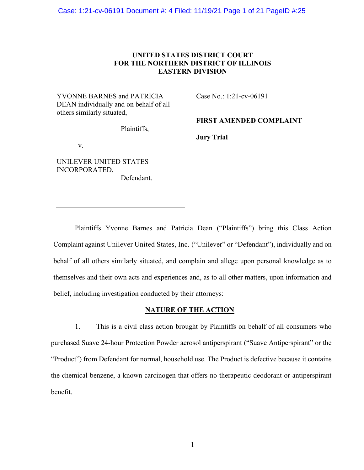# **UNITED STATES DISTRICT COURT FOR THE NORTHERN DISTRICT OF ILLINOIS EASTERN DIVISION**

YVONNE BARNES and PATRICIA DEAN individually and on behalf of all others similarly situated,

Plaintiffs,

v.

UNILEVER UNITED STATES INCORPORATED, Defendant. Case No.: 1:21-cv-06191

**FIRST AMENDED COMPLAINT**

**Jury Trial** 

Plaintiffs Yvonne Barnes and Patricia Dean ("Plaintiffs") bring this Class Action Complaint against Unilever United States, Inc. ("Unilever" or "Defendant"), individually and on behalf of all others similarly situated, and complain and allege upon personal knowledge as to themselves and their own acts and experiences and, as to all other matters, upon information and belief, including investigation conducted by their attorneys:

### **NATURE OF THE ACTION**

1. This is a civil class action brought by Plaintiffs on behalf of all consumers who purchased Suave 24-hour Protection Powder aerosol antiperspirant ("Suave Antiperspirant" or the "Product") from Defendant for normal, household use. The Product is defective because it contains the chemical benzene, a known carcinogen that offers no therapeutic deodorant or antiperspirant benefit.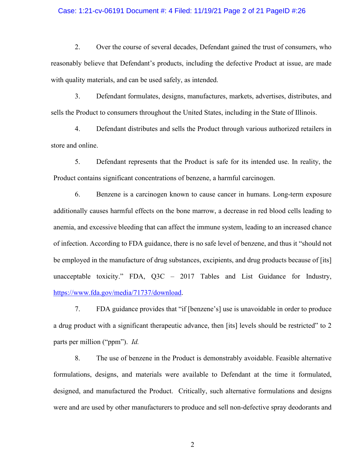#### Case: 1:21-cv-06191 Document #: 4 Filed: 11/19/21 Page 2 of 21 PageID #:26

2. Over the course of several decades, Defendant gained the trust of consumers, who reasonably believe that Defendant's products, including the defective Product at issue, are made with quality materials, and can be used safely, as intended.

3. Defendant formulates, designs, manufactures, markets, advertises, distributes, and sells the Product to consumers throughout the United States, including in the State of Illinois.

4. Defendant distributes and sells the Product through various authorized retailers in store and online.

5. Defendant represents that the Product is safe for its intended use. In reality, the Product contains significant concentrations of benzene, a harmful carcinogen.

6. Benzene is a carcinogen known to cause cancer in humans. Long-term exposure additionally causes harmful effects on the bone marrow, a decrease in red blood cells leading to anemia, and excessive bleeding that can affect the immune system, leading to an increased chance of infection. According to FDA guidance, there is no safe level of benzene, and thus it "should not be employed in the manufacture of drug substances, excipients, and drug products because of [its] unacceptable toxicity." FDA, Q3C – 2017 Tables and List Guidance for Industry, [https://www.fda.gov/media/71737/download.](https://www.fda.gov/media/71737/download)

7. FDA guidance provides that "if [benzene's] use is unavoidable in order to produce a drug product with a significant therapeutic advance, then [its] levels should be restricted" to 2 parts per million ("ppm"). *Id.*

8. The use of benzene in the Product is demonstrably avoidable. Feasible alternative formulations, designs, and materials were available to Defendant at the time it formulated, designed, and manufactured the Product. Critically, such alternative formulations and designs were and are used by other manufacturers to produce and sell non-defective spray deodorants and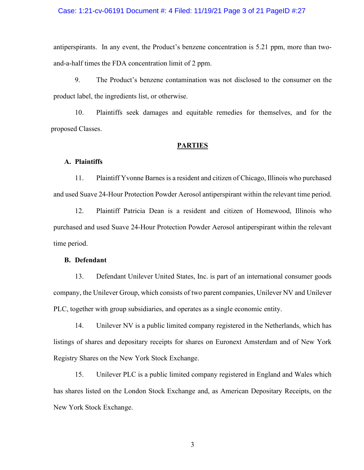### Case: 1:21-cv-06191 Document #: 4 Filed: 11/19/21 Page 3 of 21 PageID #:27

antiperspirants. In any event, the Product's benzene concentration is 5.21 ppm, more than twoand-a-half times the FDA concentration limit of 2 ppm.

9. The Product's benzene contamination was not disclosed to the consumer on the product label, the ingredients list, or otherwise.

10. Plaintiffs seek damages and equitable remedies for themselves, and for the proposed Classes.

#### **PARTIES**

#### **A. Plaintiffs**

11. Plaintiff Yvonne Barnes is a resident and citizen of Chicago, Illinois who purchased and used Suave 24-Hour Protection Powder Aerosol antiperspirant within the relevant time period.

12. Plaintiff Patricia Dean is a resident and citizen of Homewood, Illinois who purchased and used Suave 24-Hour Protection Powder Aerosol antiperspirant within the relevant time period.

#### **B. Defendant**

13. Defendant Unilever United States, Inc. is part of an international consumer goods company, the Unilever Group, which consists of two parent companies, Unilever NV and Unilever PLC, together with group subsidiaries, and operates as a single economic entity.

14. Unilever NV is a public limited company registered in the Netherlands, which has listings of shares and depositary receipts for shares on Euronext Amsterdam and of New York Registry Shares on the New York Stock Exchange.

15. Unilever PLC is a public limited company registered in England and Wales which has shares listed on the London Stock Exchange and, as American Depositary Receipts, on the New York Stock Exchange.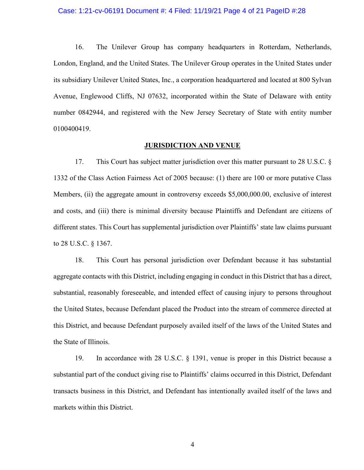#### Case: 1:21-cv-06191 Document #: 4 Filed: 11/19/21 Page 4 of 21 PageID #:28

16. The Unilever Group has company headquarters in Rotterdam, Netherlands, London, England, and the United States. The Unilever Group operates in the United States under its subsidiary Unilever United States, Inc., a corporation headquartered and located at 800 Sylvan Avenue, Englewood Cliffs, NJ 07632, incorporated within the State of Delaware with entity number 0842944, and registered with the New Jersey Secretary of State with entity number 0100400419.

#### **JURISDICTION AND VENUE**

17. This Court has subject matter jurisdiction over this matter pursuant to 28 U.S.C. § 1332 of the Class Action Fairness Act of 2005 because: (1) there are 100 or more putative Class Members, (ii) the aggregate amount in controversy exceeds \$5,000,000.00, exclusive of interest and costs, and (iii) there is minimal diversity because Plaintiffs and Defendant are citizens of different states. This Court has supplemental jurisdiction over Plaintiffs' state law claims pursuant to 28 U.S.C. § 1367.

18. This Court has personal jurisdiction over Defendant because it has substantial aggregate contacts with this District, including engaging in conduct in this District that has a direct, substantial, reasonably foreseeable, and intended effect of causing injury to persons throughout the United States, because Defendant placed the Product into the stream of commerce directed at this District, and because Defendant purposely availed itself of the laws of the United States and the State of Illinois.

19. In accordance with 28 U.S.C. § 1391, venue is proper in this District because a substantial part of the conduct giving rise to Plaintiffs' claims occurred in this District, Defendant transacts business in this District, and Defendant has intentionally availed itself of the laws and markets within this District.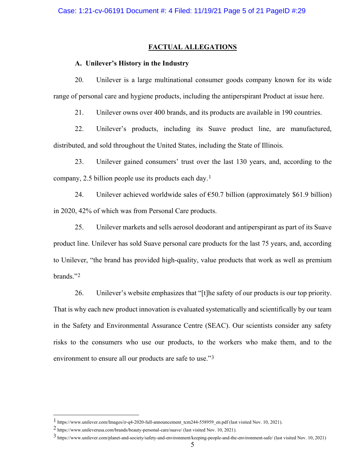### **FACTUAL ALLEGATIONS**

### **A. Unilever's History in the Industry**

20. Unilever is a large multinational consumer goods company known for its wide range of personal care and hygiene products, including the antiperspirant Product at issue here.

21. Unilever owns over 400 brands, and its products are available in 190 countries.

22. Unilever's products, including its Suave product line, are manufactured, distributed, and sold throughout the United States, including the State of Illinois.

23. Unilever gained consumers' trust over the last 130 years, and, according to the company, 2.5 billion people use its products each day.[1](#page-4-0)

24. Unilever achieved worldwide sales of  $\epsilon$ 50.7 billion (approximately \$61.9 billion) in 2020, 42% of which was from Personal Care products.

25. Unilever markets and sells aerosol deodorant and antiperspirant as part of its Suave product line. Unilever has sold Suave personal care products for the last 75 years, and, according to Unilever, "the brand has provided high-quality, value products that work as well as premium brands."[2](#page-4-1)

26. Unilever's website emphasizes that "[t]he safety of our products is our top priority. That is why each new product innovation is evaluated systematically and scientifically by our team in the Safety and Environmental Assurance Centre (SEAC). Our scientists consider any safety risks to the consumers who use our products, to the workers who make them, and to the environment to ensure all our products are safe to use."<sup>[3](#page-4-2)</sup>

<span id="page-4-0"></span><sup>1</sup> https://www.unilever.com/Images/ir-q4-2020-full-announcement\_tcm244-558959\_en.pdf (last visited Nov. 10, 2021).

<span id="page-4-1"></span><sup>2</sup> https://www.unileverusa.com/brands/beauty-personal-care/suave/ (last visited Nov. 10, 2021).

<span id="page-4-2"></span><sup>3</sup> https://www.unilever.com/planet-and-society/safety-and-environment/keeping-people-and-the-environment-safe/ (last visited Nov. 10, 2021)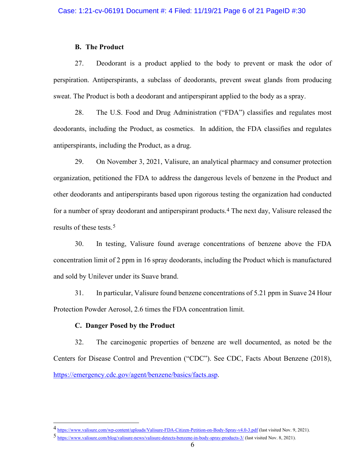### **B. The Product**

27. Deodorant is a product applied to the body to prevent or mask the odor of perspiration. Antiperspirants, a subclass of deodorants, prevent sweat glands from producing sweat. The Product is both a deodorant and antiperspirant applied to the body as a spray.

28. The U.S. Food and Drug Administration ("FDA") classifies and regulates most deodorants, including the Product, as cosmetics. In addition, the FDA classifies and regulates antiperspirants, including the Product, as a drug.

29. On November 3, 2021, Valisure, an analytical pharmacy and consumer protection organization, petitioned the FDA to address the dangerous levels of benzene in the Product and other deodorants and antiperspirants based upon rigorous testing the organization had conducted for a number of spray deodorant and antiperspirant products.<sup>[4](#page-5-0)</sup> The next day, Valisure released the results of these tests.[5](#page-5-1)

30. In testing, Valisure found average concentrations of benzene above the FDA concentration limit of 2 ppm in 16 spray deodorants, including the Product which is manufactured and sold by Unilever under its Suave brand.

31. In particular, Valisure found benzene concentrations of 5.21 ppm in Suave 24 Hour Protection Powder Aerosol, 2.6 times the FDA concentration limit.

#### **C. Danger Posed by the Product**

32. The carcinogenic properties of benzene are well documented, as noted be the Centers for Disease Control and Prevention ("CDC"). See CDC, Facts About Benzene (2018), [https://emergency.cdc.gov/agent/benzene/basics/facts.asp.](https://emergency.cdc.gov/agent/benzene/basics/facts.asp)

<span id="page-5-0"></span><sup>4</sup> <https://www.valisure.com/wp-content/uploads/Valisure-FDA-Citizen-Petition-on-Body-Spray-v4.0-3.pdf> (last visited Nov. 9, 2021).

<span id="page-5-1"></span><sup>5</sup> <https://www.valisure.com/blog/valisure-news/valisure-detects-benzene-in-body-spray-products-3/> (last visited Nov. 8, 2021).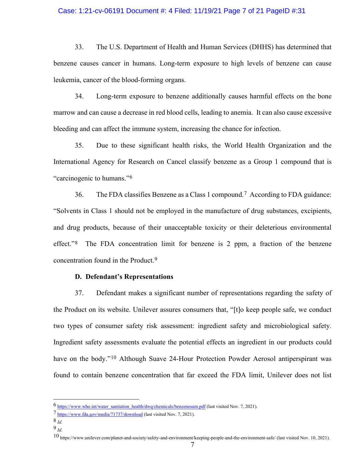### Case: 1:21-cv-06191 Document #: 4 Filed: 11/19/21 Page 7 of 21 PageID #:31

33. The U.S. Department of Health and Human Services (DHHS) has determined that benzene causes cancer in humans. Long-term exposure to high levels of benzene can cause leukemia, cancer of the blood-forming organs.

34. Long-term exposure to benzene additionally causes harmful effects on the bone marrow and can cause a decrease in red blood cells, leading to anemia. It can also cause excessive bleeding and can affect the immune system, increasing the chance for infection.

35. Due to these significant health risks, the World Health Organization and the International Agency for Research on Cancel classify benzene as a Group 1 compound that is "carcinogenic to humans."[6](#page-6-0)

36. The FDA classifies Benzene as a Class 1 compound.[7](#page-6-1) According to FDA guidance: "Solvents in Class 1 should not be employed in the manufacture of drug substances, excipients, and drug products, because of their unacceptable toxicity or their deleterious environmental effect."<sup>[8](#page-6-2)</sup> The FDA concentration limit for benzene is 2 ppm, a fraction of the benzene concentration found in the Product.[9](#page-6-3)

#### **D. Defendant's Representations**

37. Defendant makes a significant number of representations regarding the safety of the Product on its website. Unilever assures consumers that, "[t]o keep people safe, we conduct two types of consumer safety risk assessment: ingredient safety and microbiological safety. Ingredient safety assessments evaluate the potential effects an ingredient in our products could have on the body."<sup>[10](#page-6-4)</sup> Although Suave 24-Hour Protection Powder Aerosol antiperspirant was found to contain benzene concentration that far exceed the FDA limit, Unilever does not list

<span id="page-6-0"></span><sup>6</sup> [https://www.who.int/water\\_sanitation\\_health/dwq/chemicals/benzenesum.pdf](https://www.who.int/water_sanitation_health/dwq/chemicals/benzenesum.pdf) (last visited Nov. 7, 2021).

<span id="page-6-1"></span><sup>7</sup> <https://www.fda.gov/media/71737/download> (last visited Nov. 7, 2021).

<span id="page-6-2"></span><sup>8</sup> *Id.*

<span id="page-6-3"></span><sup>9</sup> *Id.*

<span id="page-6-4"></span><sup>10</sup> https://www.unilever.com/planet-and-society/safety-and-environment/keeping-people-and-the-environment-safe/ (last visited Nov. 10, 2021).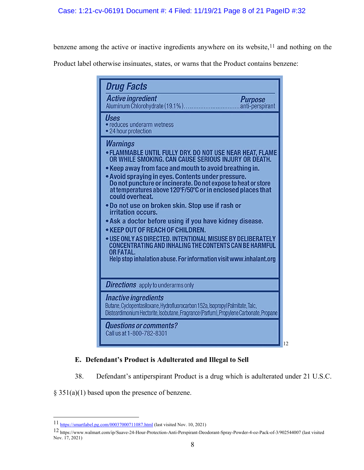benzene among the active or inactive ingredients anywhere on its website,<sup>[11](#page-7-0)</sup> and nothing on the

Product label otherwise insinuates, states, or warns that the Product contains benzene:

|             | <b>Active ingredient</b><br><b>Purpose</b><br>anti-perspirant                                                                                                                                                                                                                                                                                                                                                                                                                                                                                                                                                                                                                                                                                                                                            |  |
|-------------|----------------------------------------------------------------------------------------------------------------------------------------------------------------------------------------------------------------------------------------------------------------------------------------------------------------------------------------------------------------------------------------------------------------------------------------------------------------------------------------------------------------------------------------------------------------------------------------------------------------------------------------------------------------------------------------------------------------------------------------------------------------------------------------------------------|--|
| <b>Uses</b> | · reduces underarm wetness<br>• 24 hour protection                                                                                                                                                                                                                                                                                                                                                                                                                                                                                                                                                                                                                                                                                                                                                       |  |
|             | <b>Warnings</b><br>• FLAMMABLE UNTIL FULLY DRY. DO NOT USE NEAR HEAT, FLAME<br>OR WHILE SMOKING. CAN CAUSE SERIOUS INJURY OR DEATH.<br>• Keep away from face and mouth to avoid breathing in.<br>• Avoid spraying in eyes. Contents under pressure.<br>Do not puncture or incinerate. Do not expose to heat or store<br>at temperatures above 120°F/50°C or in enclosed places that<br>could overheat.<br>. Do not use on broken skin. Stop use if rash or<br>irritation occurs.<br>• Ask a doctor before using if you have kidney disease.<br>• KEEP OUT OF REACH OF CHILDREN.<br>. USE ONLY AS DIRECTED. INTENTIONAL MISUSE BY DELIBERATELY<br><b>CONCENTRATING AND INHALING THE CONTENTS CAN BE HARMFUL</b><br><b>OR FATAL.</b><br>Help stop inhalation abuse. For information visit www.inhalant.org |  |
|             | <b>Directions</b> apply to underarms only                                                                                                                                                                                                                                                                                                                                                                                                                                                                                                                                                                                                                                                                                                                                                                |  |
|             | <i><b>Inactive ingredients</b></i><br>Butane, Cyclopentasiloxane, Hydrofluorocarbon 152a, Isopropyl Palmitate, Talc,<br>Disteardimonium Hectorite, Isobutane, Fragrance (Parfum), Propylene Carbonate, Propane                                                                                                                                                                                                                                                                                                                                                                                                                                                                                                                                                                                           |  |
|             | <b>Questions or comments?</b><br>Call us at 1-800-782-8301                                                                                                                                                                                                                                                                                                                                                                                                                                                                                                                                                                                                                                                                                                                                               |  |

# **E. Defendant's Product is Adulterated and Illegal to Sell**

38. Defendant's antiperspirant Product is a drug which is adulterated under 21 U.S.C.

§ 351(a)(1) based upon the presence of benzene.

<span id="page-7-0"></span><sup>11</sup> <https://smartlabel.pg.com/00037000711087.html> (last visited Nov. 10, 2021)

<span id="page-7-1"></span><sup>12</sup> https://www.walmart.com/ip/Suave-24-Hour-Protection-Anti-Perspirant-Deodorant-Spray-Powder-4-oz-Pack-of-3/902544007 (last visited Nov. 17, 2021)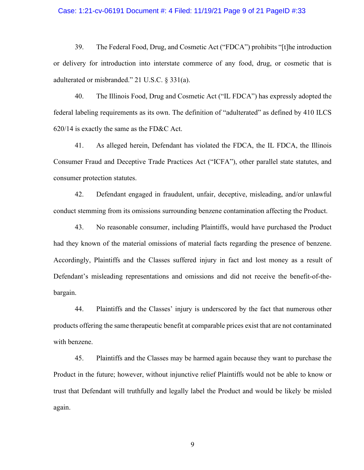#### Case: 1:21-cv-06191 Document #: 4 Filed: 11/19/21 Page 9 of 21 PageID #:33

39. The Federal Food, Drug, and Cosmetic Act ("FDCA") prohibits "[t]he introduction or delivery for introduction into interstate commerce of any food, drug, or cosmetic that is adulterated or misbranded." 21 U.S.C. § 331(a).

40. The Illinois Food, Drug and Cosmetic Act ("IL FDCA") has expressly adopted the federal labeling requirements as its own. The definition of "adulterated" as defined by 410 ILCS 620/14 is exactly the same as the FD&C Act.

41. As alleged herein, Defendant has violated the FDCA, the IL FDCA, the Illinois Consumer Fraud and Deceptive Trade Practices Act ("ICFA"), other parallel state statutes, and consumer protection statutes.

42. Defendant engaged in fraudulent, unfair, deceptive, misleading, and/or unlawful conduct stemming from its omissions surrounding benzene contamination affecting the Product.

43. No reasonable consumer, including Plaintiffs, would have purchased the Product had they known of the material omissions of material facts regarding the presence of benzene. Accordingly, Plaintiffs and the Classes suffered injury in fact and lost money as a result of Defendant's misleading representations and omissions and did not receive the benefit-of-thebargain.

44. Plaintiffs and the Classes' injury is underscored by the fact that numerous other products offering the same therapeutic benefit at comparable prices exist that are not contaminated with benzene.

45. Plaintiffs and the Classes may be harmed again because they want to purchase the Product in the future; however, without injunctive relief Plaintiffs would not be able to know or trust that Defendant will truthfully and legally label the Product and would be likely be misled again.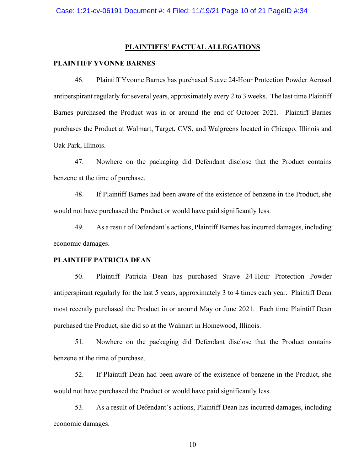#### **PLAINTIFFS' FACTUAL ALLEGATIONS**

#### **PLAINTIFF YVONNE BARNES**

46. Plaintiff Yvonne Barnes has purchased Suave 24-Hour Protection Powder Aerosol antiperspirant regularly for several years, approximately every 2 to 3 weeks. The last time Plaintiff Barnes purchased the Product was in or around the end of October 2021. Plaintiff Barnes purchases the Product at Walmart, Target, CVS, and Walgreens located in Chicago, Illinois and Oak Park, Illinois.

47. Nowhere on the packaging did Defendant disclose that the Product contains benzene at the time of purchase.

48. If Plaintiff Barnes had been aware of the existence of benzene in the Product, she would not have purchased the Product or would have paid significantly less.

49. As a result of Defendant's actions, Plaintiff Barnes has incurred damages, including economic damages.

#### **PLAINTIFF PATRICIA DEAN**

50. Plaintiff Patricia Dean has purchased Suave 24-Hour Protection Powder antiperspirant regularly for the last 5 years, approximately 3 to 4 times each year. Plaintiff Dean most recently purchased the Product in or around May or June 2021. Each time Plaintiff Dean purchased the Product, she did so at the Walmart in Homewood, Illinois.

51. Nowhere on the packaging did Defendant disclose that the Product contains benzene at the time of purchase.

52. If Plaintiff Dean had been aware of the existence of benzene in the Product, she would not have purchased the Product or would have paid significantly less.

53. As a result of Defendant's actions, Plaintiff Dean has incurred damages, including economic damages.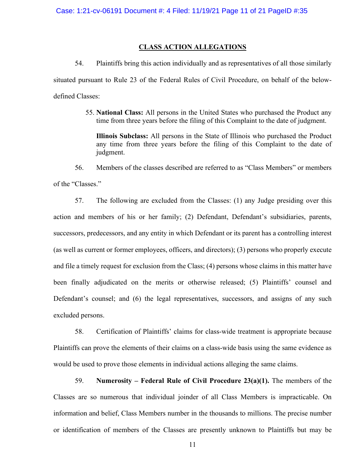#### **CLASS ACTION ALLEGATIONS**

54. Plaintiffs bring this action individually and as representatives of all those similarly situated pursuant to Rule 23 of the Federal Rules of Civil Procedure, on behalf of the belowdefined Classes:

> 55. **National Class:** All persons in the United States who purchased the Product any time from three years before the filing of this Complaint to the date of judgment.

**Illinois Subclass:** All persons in the State of Illinois who purchased the Product any time from three years before the filing of this Complaint to the date of judgment.

56. Members of the classes described are referred to as "Class Members" or members of the "Classes."

57. The following are excluded from the Classes: (1) any Judge presiding over this action and members of his or her family; (2) Defendant, Defendant's subsidiaries, parents, successors, predecessors, and any entity in which Defendant or its parent has a controlling interest (as well as current or former employees, officers, and directors); (3) persons who properly execute and file a timely request for exclusion from the Class; (4) persons whose claims in this matter have been finally adjudicated on the merits or otherwise released; (5) Plaintiffs' counsel and Defendant's counsel; and (6) the legal representatives, successors, and assigns of any such excluded persons.

58. Certification of Plaintiffs' claims for class-wide treatment is appropriate because Plaintiffs can prove the elements of their claims on a class-wide basis using the same evidence as would be used to prove those elements in individual actions alleging the same claims.

59. **Numerosity – Federal Rule of Civil Procedure 23(a)(1).** The members of the Classes are so numerous that individual joinder of all Class Members is impracticable. On information and belief, Class Members number in the thousands to millions. The precise number or identification of members of the Classes are presently unknown to Plaintiffs but may be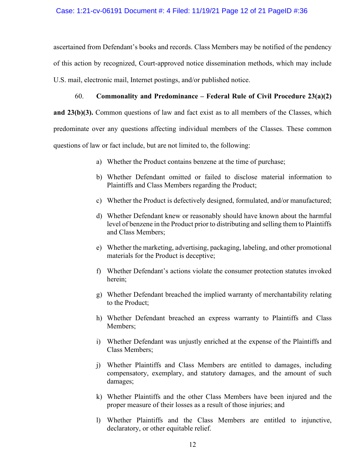ascertained from Defendant's books and records. Class Members may be notified of the pendency of this action by recognized, Court-approved notice dissemination methods, which may include U.S. mail, electronic mail, Internet postings, and/or published notice.

# 60. **Commonality and Predominance – Federal Rule of Civil Procedure 23(a)(2)**

**and 23(b)(3).** Common questions of law and fact exist as to all members of the Classes, which predominate over any questions affecting individual members of the Classes. These common questions of law or fact include, but are not limited to, the following:

- a) Whether the Product contains benzene at the time of purchase;
- b) Whether Defendant omitted or failed to disclose material information to Plaintiffs and Class Members regarding the Product;
- c) Whether the Product is defectively designed, formulated, and/or manufactured;
- d) Whether Defendant knew or reasonably should have known about the harmful level of benzene in the Product prior to distributing and selling them to Plaintiffs and Class Members;
- e) Whether the marketing, advertising, packaging, labeling, and other promotional materials for the Product is deceptive;
- f) Whether Defendant's actions violate the consumer protection statutes invoked herein;
- g) Whether Defendant breached the implied warranty of merchantability relating to the Product;
- h) Whether Defendant breached an express warranty to Plaintiffs and Class Members;
- i) Whether Defendant was unjustly enriched at the expense of the Plaintiffs and Class Members;
- j) Whether Plaintiffs and Class Members are entitled to damages, including compensatory, exemplary, and statutory damages, and the amount of such damages;
- k) Whether Plaintiffs and the other Class Members have been injured and the proper measure of their losses as a result of those injuries; and
- l) Whether Plaintiffs and the Class Members are entitled to injunctive, declaratory, or other equitable relief.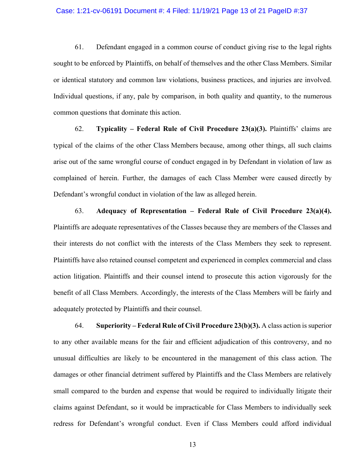#### Case: 1:21-cv-06191 Document #: 4 Filed: 11/19/21 Page 13 of 21 PageID #:37

61. Defendant engaged in a common course of conduct giving rise to the legal rights sought to be enforced by Plaintiffs, on behalf of themselves and the other Class Members. Similar or identical statutory and common law violations, business practices, and injuries are involved. Individual questions, if any, pale by comparison, in both quality and quantity, to the numerous common questions that dominate this action.

62. **Typicality – Federal Rule of Civil Procedure 23(a)(3).** Plaintiffs' claims are typical of the claims of the other Class Members because, among other things, all such claims arise out of the same wrongful course of conduct engaged in by Defendant in violation of law as complained of herein. Further, the damages of each Class Member were caused directly by Defendant's wrongful conduct in violation of the law as alleged herein.

63. **Adequacy of Representation – Federal Rule of Civil Procedure 23(a)(4).** Plaintiffs are adequate representatives of the Classes because they are members of the Classes and their interests do not conflict with the interests of the Class Members they seek to represent. Plaintiffs have also retained counsel competent and experienced in complex commercial and class action litigation. Plaintiffs and their counsel intend to prosecute this action vigorously for the benefit of all Class Members. Accordingly, the interests of the Class Members will be fairly and adequately protected by Plaintiffs and their counsel.

64. **Superiority – Federal Rule of Civil Procedure 23(b)(3).** A class action is superior to any other available means for the fair and efficient adjudication of this controversy, and no unusual difficulties are likely to be encountered in the management of this class action. The damages or other financial detriment suffered by Plaintiffs and the Class Members are relatively small compared to the burden and expense that would be required to individually litigate their claims against Defendant, so it would be impracticable for Class Members to individually seek redress for Defendant's wrongful conduct. Even if Class Members could afford individual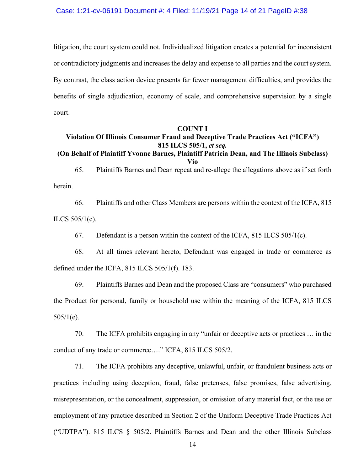litigation, the court system could not. Individualized litigation creates a potential for inconsistent or contradictory judgments and increases the delay and expense to all parties and the court system. By contrast, the class action device presents far fewer management difficulties, and provides the benefits of single adjudication, economy of scale, and comprehensive supervision by a single court.

#### **COUNT I**

# **Violation Of Illinois Consumer Fraud and Deceptive Trade Practices Act ("ICFA") 815 ILCS 505/1,** *et seq.*

### **(On Behalf of Plaintiff Yvonne Barnes, Plaintiff Patricia Dean, and The Illinois Subclass) Vio**

65. Plaintiffs Barnes and Dean repeat and re-allege the allegations above as if set forth herein.

66. Plaintiffs and other Class Members are persons within the context of the ICFA, 815 ILCS 505/1(c).

67. Defendant is a person within the context of the ICFA,  $815$  ILCS  $505/1(c)$ .

68. At all times relevant hereto, Defendant was engaged in trade or commerce as defined under the ICFA, 815 ILCS 505/1(f). 183.

69. Plaintiffs Barnes and Dean and the proposed Class are "consumers" who purchased the Product for personal, family or household use within the meaning of the ICFA, 815 ILCS  $505/1(e)$ .

70. The ICFA prohibits engaging in any "unfair or deceptive acts or practices … in the conduct of any trade or commerce…." ICFA, 815 ILCS 505/2.

71. The ICFA prohibits any deceptive, unlawful, unfair, or fraudulent business acts or practices including using deception, fraud, false pretenses, false promises, false advertising, misrepresentation, or the concealment, suppression, or omission of any material fact, or the use or employment of any practice described in Section 2 of the Uniform Deceptive Trade Practices Act ("UDTPA"). 815 ILCS § 505/2. Plaintiffs Barnes and Dean and the other Illinois Subclass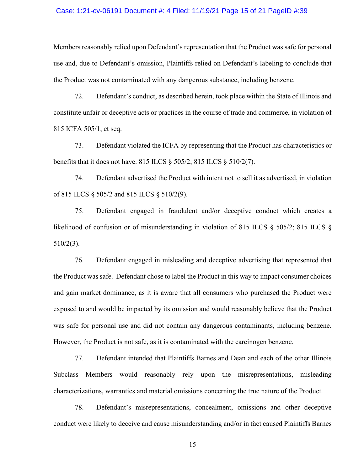#### Case: 1:21-cv-06191 Document #: 4 Filed: 11/19/21 Page 15 of 21 PageID #:39

Members reasonably relied upon Defendant's representation that the Product was safe for personal use and, due to Defendant's omission, Plaintiffs relied on Defendant's labeling to conclude that the Product was not contaminated with any dangerous substance, including benzene.

72. Defendant's conduct, as described herein, took place within the State of Illinois and constitute unfair or deceptive acts or practices in the course of trade and commerce, in violation of 815 ICFA 505/1, et seq.

73. Defendant violated the ICFA by representing that the Product has characteristics or benefits that it does not have. 815 ILCS § 505/2; 815 ILCS § 510/2(7).

74. Defendant advertised the Product with intent not to sell it as advertised, in violation of 815 ILCS § 505/2 and 815 ILCS § 510/2(9).

75. Defendant engaged in fraudulent and/or deceptive conduct which creates a likelihood of confusion or of misunderstanding in violation of 815 ILCS § 505/2; 815 ILCS § 510/2(3).

76. Defendant engaged in misleading and deceptive advertising that represented that the Product was safe. Defendant chose to label the Product in this way to impact consumer choices and gain market dominance, as it is aware that all consumers who purchased the Product were exposed to and would be impacted by its omission and would reasonably believe that the Product was safe for personal use and did not contain any dangerous contaminants, including benzene. However, the Product is not safe, as it is contaminated with the carcinogen benzene.

77. Defendant intended that Plaintiffs Barnes and Dean and each of the other Illinois Subclass Members would reasonably rely upon the misrepresentations, misleading characterizations, warranties and material omissions concerning the true nature of the Product.

78. Defendant's misrepresentations, concealment, omissions and other deceptive conduct were likely to deceive and cause misunderstanding and/or in fact caused Plaintiffs Barnes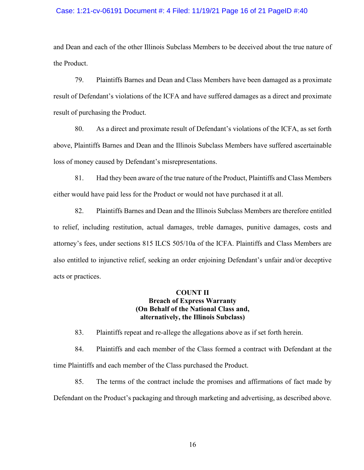### Case: 1:21-cv-06191 Document #: 4 Filed: 11/19/21 Page 16 of 21 PageID #:40

and Dean and each of the other Illinois Subclass Members to be deceived about the true nature of the Product.

79. Plaintiffs Barnes and Dean and Class Members have been damaged as a proximate result of Defendant's violations of the ICFA and have suffered damages as a direct and proximate result of purchasing the Product.

80. As a direct and proximate result of Defendant's violations of the ICFA, as set forth above, Plaintiffs Barnes and Dean and the Illinois Subclass Members have suffered ascertainable loss of money caused by Defendant's misrepresentations.

81. Had they been aware of the true nature of the Product, Plaintiffs and Class Members either would have paid less for the Product or would not have purchased it at all.

82. Plaintiffs Barnes and Dean and the Illinois Subclass Members are therefore entitled to relief, including restitution, actual damages, treble damages, punitive damages, costs and attorney's fees, under sections 815 ILCS 505/10a of the ICFA. Plaintiffs and Class Members are also entitled to injunctive relief, seeking an order enjoining Defendant's unfair and/or deceptive acts or practices.

# **COUNT II Breach of Express Warranty (On Behalf of the National Class and, alternatively, the Illinois Subclass)**

83. Plaintiffs repeat and re-allege the allegations above as if set forth herein.

84. Plaintiffs and each member of the Class formed a contract with Defendant at the time Plaintiffs and each member of the Class purchased the Product.

85. The terms of the contract include the promises and affirmations of fact made by Defendant on the Product's packaging and through marketing and advertising, as described above.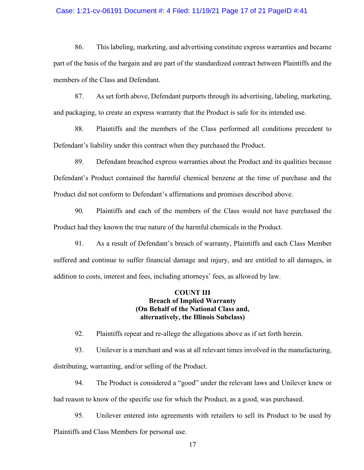### Case: 1:21-cv-06191 Document #: 4 Filed: 11/19/21 Page 17 of 21 PageID #:41

86. This labeling, marketing, and advertising constitute express warranties and became part of the basis of the bargain and are part of the standardized contract between Plaintiffs and the members of the Class and Defendant.

87. As set forth above, Defendant purports through its advertising, labeling, marketing, and packaging, to create an express warranty that the Product is safe for its intended use.

88. Plaintiffs and the members of the Class performed all conditions precedent to Defendant's liability under this contract when they purchased the Product.

89. Defendant breached express warranties about the Product and its qualities because Defendant's Product contained the harmful chemical benzene at the time of purchase and the Product did not conform to Defendant's affirmations and promises described above.

90. Plaintiffs and each of the members of the Class would not have purchased the Product had they known the true nature of the harmful chemicals in the Product.

91. As a result of Defendant's breach of warranty, Plaintiffs and each Class Member suffered and continue to suffer financial damage and injury, and are entitled to all damages, in addition to costs, interest and fees, including attorneys' fees, as allowed by law.

## **COUNT III Breach of Implied Warranty (On Behalf of the National Class and, alternatively, the Illinois Subclass)**

92. Plaintiffs repeat and re-allege the allegations above as if set forth herein.

93. Unilever is a merchant and was at all relevant times involved in the manufacturing, distributing, warranting, and/or selling of the Product.

94. The Product is considered a "good" under the relevant laws and Unilever knew or had reason to know of the specific use for which the Product, as a good, was purchased.

95. Unilever entered into agreements with retailers to sell its Product to be used by Plaintiffs and Class Members for personal use.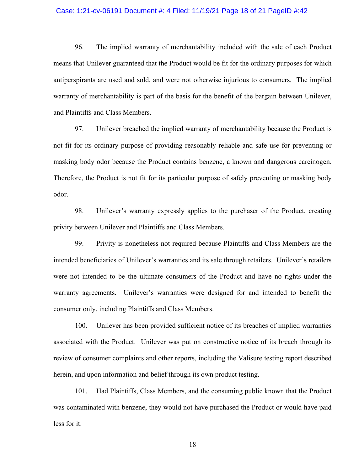#### Case: 1:21-cv-06191 Document #: 4 Filed: 11/19/21 Page 18 of 21 PageID #:42

96. The implied warranty of merchantability included with the sale of each Product means that Unilever guaranteed that the Product would be fit for the ordinary purposes for which antiperspirants are used and sold, and were not otherwise injurious to consumers. The implied warranty of merchantability is part of the basis for the benefit of the bargain between Unilever, and Plaintiffs and Class Members.

97. Unilever breached the implied warranty of merchantability because the Product is not fit for its ordinary purpose of providing reasonably reliable and safe use for preventing or masking body odor because the Product contains benzene, a known and dangerous carcinogen. Therefore, the Product is not fit for its particular purpose of safely preventing or masking body odor.

98. Unilever's warranty expressly applies to the purchaser of the Product, creating privity between Unilever and Plaintiffs and Class Members.

99. Privity is nonetheless not required because Plaintiffs and Class Members are the intended beneficiaries of Unilever's warranties and its sale through retailers. Unilever's retailers were not intended to be the ultimate consumers of the Product and have no rights under the warranty agreements. Unilever's warranties were designed for and intended to benefit the consumer only, including Plaintiffs and Class Members.

100. Unilever has been provided sufficient notice of its breaches of implied warranties associated with the Product. Unilever was put on constructive notice of its breach through its review of consumer complaints and other reports, including the Valisure testing report described herein, and upon information and belief through its own product testing.

101. Had Plaintiffs, Class Members, and the consuming public known that the Product was contaminated with benzene, they would not have purchased the Product or would have paid less for it.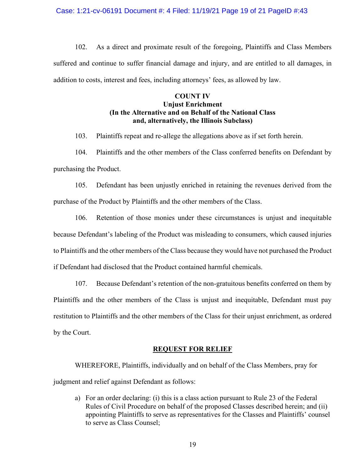#### Case: 1:21-cv-06191 Document #: 4 Filed: 11/19/21 Page 19 of 21 PageID #:43

102. As a direct and proximate result of the foregoing, Plaintiffs and Class Members suffered and continue to suffer financial damage and injury, and are entitled to all damages, in addition to costs, interest and fees, including attorneys' fees, as allowed by law.

### **COUNT IV Unjust Enrichment (In the Alternative and on Behalf of the National Class and, alternatively, the Illinois Subclass)**

103. Plaintiffs repeat and re-allege the allegations above as if set forth herein.

104. Plaintiffs and the other members of the Class conferred benefits on Defendant by purchasing the Product.

105. Defendant has been unjustly enriched in retaining the revenues derived from the purchase of the Product by Plaintiffs and the other members of the Class.

106. Retention of those monies under these circumstances is unjust and inequitable because Defendant's labeling of the Product was misleading to consumers, which caused injuries to Plaintiffs and the other members of the Class because they would have not purchased the Product if Defendant had disclosed that the Product contained harmful chemicals.

107. Because Defendant's retention of the non-gratuitous benefits conferred on them by Plaintiffs and the other members of the Class is unjust and inequitable, Defendant must pay restitution to Plaintiffs and the other members of the Class for their unjust enrichment, as ordered by the Court.

### **REQUEST FOR RELIEF**

WHEREFORE, Plaintiffs, individually and on behalf of the Class Members, pray for judgment and relief against Defendant as follows:

a) For an order declaring: (i) this is a class action pursuant to Rule 23 of the Federal Rules of Civil Procedure on behalf of the proposed Classes described herein; and (ii) appointing Plaintiffs to serve as representatives for the Classes and Plaintiffs' counsel to serve as Class Counsel;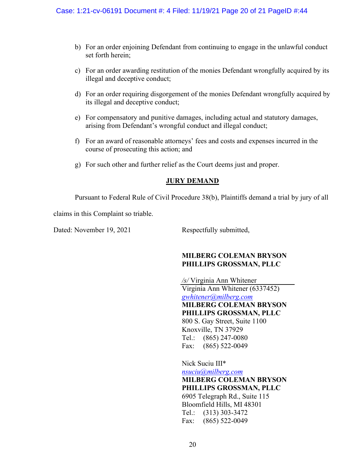- b) For an order enjoining Defendant from continuing to engage in the unlawful conduct set forth herein;
- c) For an order awarding restitution of the monies Defendant wrongfully acquired by its illegal and deceptive conduct;
- d) For an order requiring disgorgement of the monies Defendant wrongfully acquired by its illegal and deceptive conduct;
- e) For compensatory and punitive damages, including actual and statutory damages, arising from Defendant's wrongful conduct and illegal conduct;
- f) For an award of reasonable attorneys' fees and costs and expenses incurred in the course of prosecuting this action; and
- g) For such other and further relief as the Court deems just and proper.

# **JURY DEMAND**

Pursuant to Federal Rule of Civil Procedure 38(b), Plaintiffs demand a trial by jury of all

claims in this Complaint so triable.

Dated: November 19, 2021 Respectfully submitted,

# **MILBERG COLEMAN BRYSON PHILLIPS GROSSMAN, PLLC**

 */s/* Virginia Ann Whitener Virginia Ann Whitener (6337452) *[gwhitener@milberg.com](mailto:gwhitener@milberg.com)* **MILBERG COLEMAN BRYSON PHILLIPS GROSSMAN, PLLC** 800 S. Gay Street, Suite 1100 Knoxville, TN 37929 Tel.: (865) 247-0080 Fax: (865) 522-0049

Nick Suciu III\* *[nsuciu@milberg.com](mailto:nsuciu@milberg.com)* **MILBERG COLEMAN BRYSON PHILLIPS GROSSMAN, PLLC** 6905 Telegraph Rd., Suite 115 Bloomfield Hills, MI 48301 Tel.: (313) 303-3472 Fax: (865) 522-0049